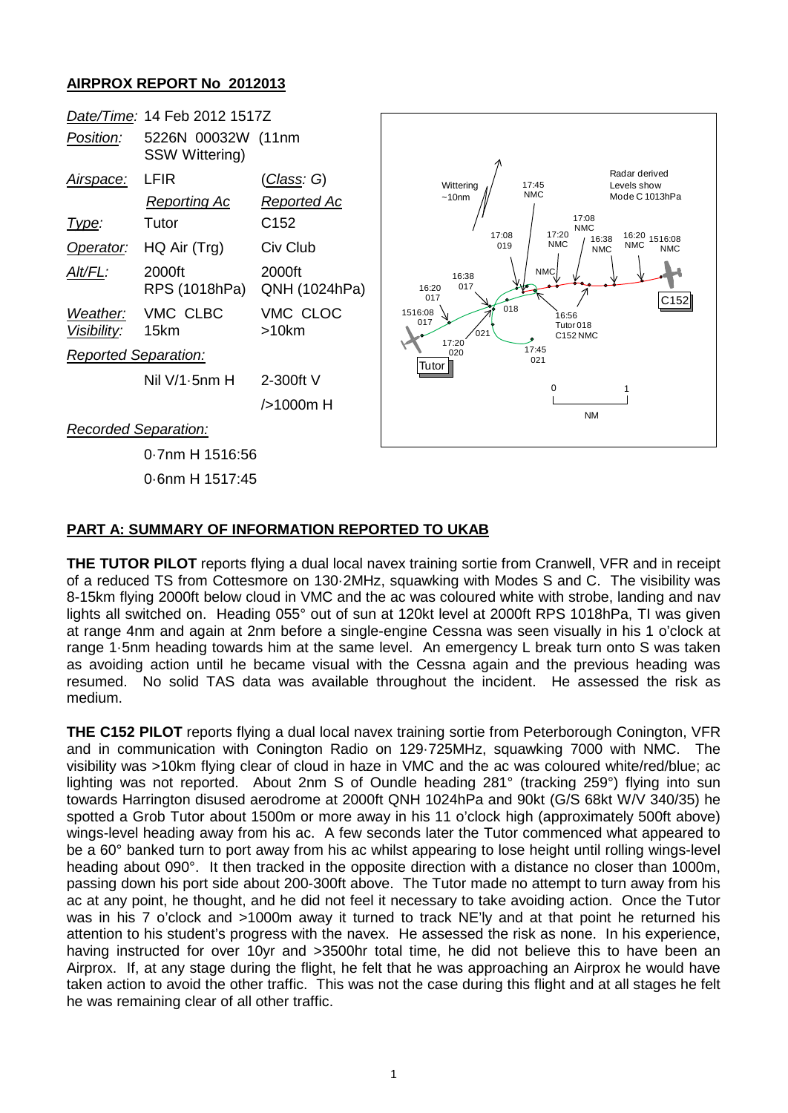## **AIRPROX REPORT No 2012013**



## **PART A: SUMMARY OF INFORMATION REPORTED TO UKAB**

**THE TUTOR PILOT** reports flying a dual local navex training sortie from Cranwell, VFR and in receipt of a reduced TS from Cottesmore on 130·2MHz, squawking with Modes S and C. The visibility was 8-15km flying 2000ft below cloud in VMC and the ac was coloured white with strobe, landing and nav lights all switched on. Heading 055° out of sun at 120kt level at 2000ft RPS 1018hPa, TI was given at range 4nm and again at 2nm before a single-engine Cessna was seen visually in his 1 o'clock at range 1·5nm heading towards him at the same level. An emergency L break turn onto S was taken as avoiding action until he became visual with the Cessna again and the previous heading was resumed. No solid TAS data was available throughout the incident. He assessed the risk as medium.

**THE C152 PILOT** reports flying a dual local navex training sortie from Peterborough Conington, VFR and in communication with Conington Radio on 129·725MHz, squawking 7000 with NMC. The visibility was >10km flying clear of cloud in haze in VMC and the ac was coloured white/red/blue; ac lighting was not reported. About 2nm S of Oundle heading 281° (tracking 259°) flying into sun towards Harrington disused aerodrome at 2000ft QNH 1024hPa and 90kt (G/S 68kt W/V 340/35) he spotted a Grob Tutor about 1500m or more away in his 11 o'clock high (approximately 500ft above) wings-level heading away from his ac. A few seconds later the Tutor commenced what appeared to be a 60° banked turn to port away from his ac whilst appearing to lose height until rolling wings-level heading about 090°. It then tracked in the opposite direction with a distance no closer than 1000m, passing down his port side about 200-300ft above. The Tutor made no attempt to turn away from his ac at any point, he thought, and he did not feel it necessary to take avoiding action. Once the Tutor was in his 7 o'clock and >1000m away it turned to track NE'ly and at that point he returned his attention to his student's progress with the navex. He assessed the risk as none. In his experience, having instructed for over 10yr and >3500hr total time, he did not believe this to have been an Airprox. If, at any stage during the flight, he felt that he was approaching an Airprox he would have taken action to avoid the other traffic. This was not the case during this flight and at all stages he felt he was remaining clear of all other traffic.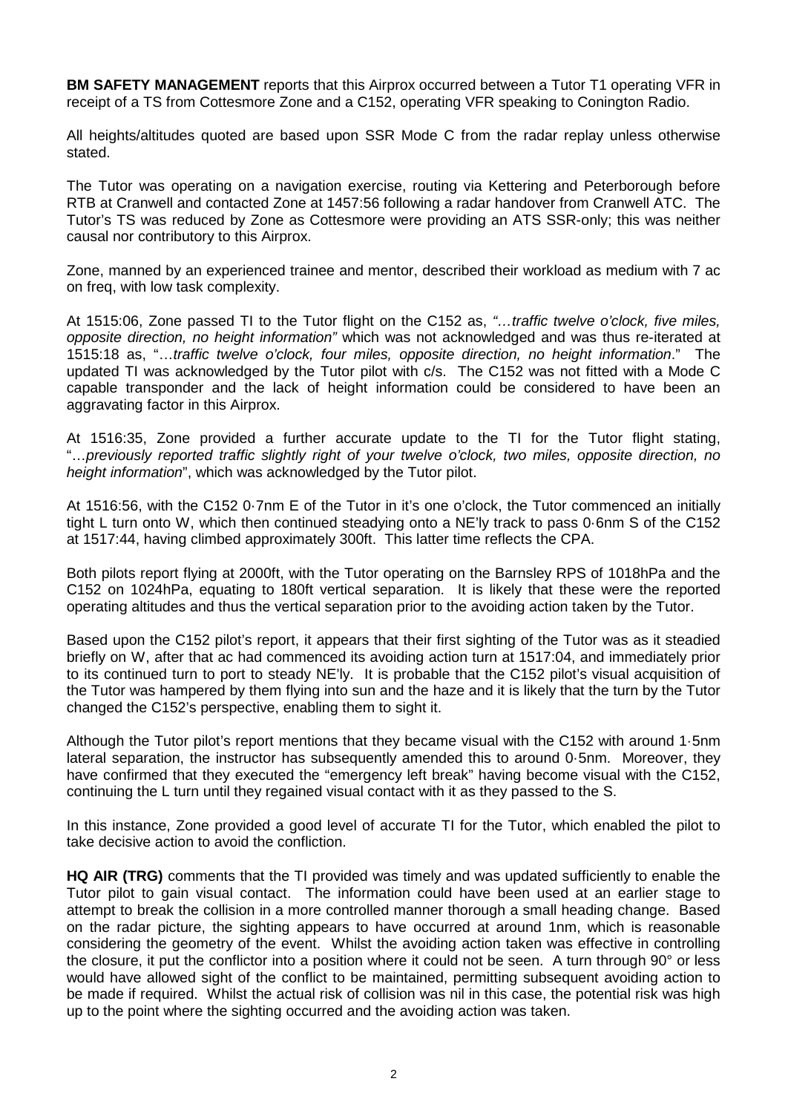**BM SAFETY MANAGEMENT** reports that this Airprox occurred between a Tutor T1 operating VFR in receipt of a TS from Cottesmore Zone and a C152, operating VFR speaking to Conington Radio.

All heights/altitudes quoted are based upon SSR Mode C from the radar replay unless otherwise stated.

The Tutor was operating on a navigation exercise, routing via Kettering and Peterborough before RTB at Cranwell and contacted Zone at 1457:56 following a radar handover from Cranwell ATC. The Tutor's TS was reduced by Zone as Cottesmore were providing an ATS SSR-only; this was neither causal nor contributory to this Airprox.

Zone, manned by an experienced trainee and mentor, described their workload as medium with 7 ac on freq, with low task complexity.

At 1515:06, Zone passed TI to the Tutor flight on the C152 as, *"…traffic twelve o'clock, five miles, opposite direction, no height information"* which was not acknowledged and was thus re-iterated at 1515:18 as, "…*traffic twelve o'clock, four miles, opposite direction, no height information*." The updated TI was acknowledged by the Tutor pilot with c/s. The C152 was not fitted with a Mode C capable transponder and the lack of height information could be considered to have been an aggravating factor in this Airprox.

At 1516:35, Zone provided a further accurate update to the TI for the Tutor flight stating, "…*previously reported traffic slightly right of your twelve o'clock, two miles, opposite direction, no height information*", which was acknowledged by the Tutor pilot.

At 1516:56, with the C152 0·7nm E of the Tutor in it's one o'clock, the Tutor commenced an initially tight L turn onto W, which then continued steadying onto a NE'ly track to pass 0·6nm S of the C152 at 1517:44, having climbed approximately 300ft. This latter time reflects the CPA.

Both pilots report flying at 2000ft, with the Tutor operating on the Barnsley RPS of 1018hPa and the C152 on 1024hPa, equating to 180ft vertical separation. It is likely that these were the reported operating altitudes and thus the vertical separation prior to the avoiding action taken by the Tutor.

Based upon the C152 pilot's report, it appears that their first sighting of the Tutor was as it steadied briefly on W, after that ac had commenced its avoiding action turn at 1517:04, and immediately prior to its continued turn to port to steady NE'ly. It is probable that the C152 pilot's visual acquisition of the Tutor was hampered by them flying into sun and the haze and it is likely that the turn by the Tutor changed the C152's perspective, enabling them to sight it.

Although the Tutor pilot's report mentions that they became visual with the C152 with around 1·5nm lateral separation, the instructor has subsequently amended this to around 0·5nm. Moreover, they have confirmed that they executed the "emergency left break" having become visual with the C152, continuing the L turn until they regained visual contact with it as they passed to the S.

In this instance, Zone provided a good level of accurate TI for the Tutor, which enabled the pilot to take decisive action to avoid the confliction.

**HQ AIR (TRG)** comments that the TI provided was timely and was updated sufficiently to enable the Tutor pilot to gain visual contact. The information could have been used at an earlier stage to attempt to break the collision in a more controlled manner thorough a small heading change. Based on the radar picture, the sighting appears to have occurred at around 1nm, which is reasonable considering the geometry of the event. Whilst the avoiding action taken was effective in controlling the closure, it put the conflictor into a position where it could not be seen. A turn through 90° or less would have allowed sight of the conflict to be maintained, permitting subsequent avoiding action to be made if required. Whilst the actual risk of collision was nil in this case, the potential risk was high up to the point where the sighting occurred and the avoiding action was taken.